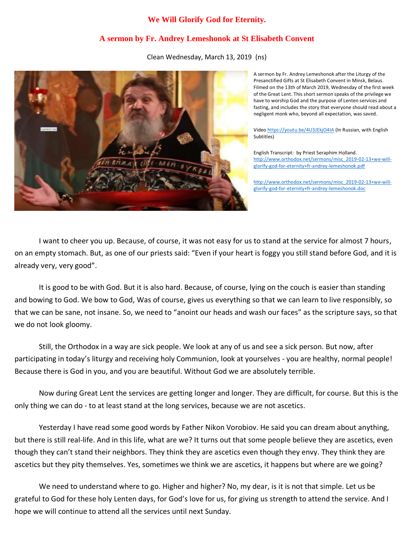## **We Will Glorify God for Eternity.**

## **A sermon by Fr. Andrey Lemeshonok at St Elisabeth Convent**

Clean Wednesday, March 13, 2019 (ns)



A sermon by Fr. Andrey Lemeshonok after the Liturgy of the Presanctified Gifts at St Elisabeth Convent in Minsk, Belaus. Filmed on the 13th of March 2019, Wednesday of the first week of the Great Lent. This short sermon speaks of the privilege we have to worship God and the purpose of Lenten services and fasting, and includes the story that everyone should read about a negligent monk who, beyond all expectation, was saved.

Vide[o https://youtu.be/4U3JEkjO4IA](https://youtu.be/4U3JEkjO4IA) (In Russian, with English Subtitles)

English Transcript: by Priest Seraphim Holland. [http://www.orthodox.net/sermons/misc\\_2019-02-13+we-will](https://www.orthodox.net//sermons/misc_2019-02-13+we-will-glorify-god-for-eternity+fr-andrey-lemeshonok.pdf)[glorify-god-for-eternity+fr-andrey-lemeshonok.pdf](https://www.orthodox.net//sermons/misc_2019-02-13+we-will-glorify-god-for-eternity+fr-andrey-lemeshonok.pdf)

[http://www.orthodox.net/sermons/misc\\_2019-02-13+we-will](https://www.orthodox.net//sermons/misc_2019-02-13+we-will-glorify-god-for-eternity+fr-andrey-lemeshonok.doc)[glorify-god-for-eternity+fr-andrey-lemeshonok.doc](https://www.orthodox.net//sermons/misc_2019-02-13+we-will-glorify-god-for-eternity+fr-andrey-lemeshonok.doc)

I want to cheer you up. Because, of course, it was not easy for us to stand at the service for almost 7 hours, on an empty stomach. But, as one of our priests said: "Even if your heart is foggy you still stand before God, and it is already very, very good".

It is good to be with God. But it is also hard. Because, of course, lying on the couch is easier than standing and bowing to God. We bow to God, Was of course, gives us everything so that we can learn to live responsibly, so that we can be sane, not insane. So, we need to "anoint our heads and wash our faces" as the scripture says, so that we do not look gloomy.

Still, the Orthodox in a way are sick people. We look at any of us and see a sick person. But now, after participating in today's liturgy and receiving holy Communion, look at yourselves - you are healthy, normal people! Because there is God in you, and you are beautiful. Without God we are absolutely terrible.

Now during Great Lent the services are getting longer and longer. They are difficult, for course. But this is the only thing we can do - to at least stand at the long services, because we are not ascetics.

Yesterday I have read some good words by Father Nikon Vorobiov. He said you can dream about anything, but there is still real-life. And in this life, what are we? It turns out that some people believe they are ascetics, even though they can't stand their neighbors. They think they are ascetics even though they envy. They think they are ascetics but they pity themselves. Yes, sometimes we think we are ascetics, it happens but where are we going?

We need to understand where to go. Higher and higher? No, my dear, is it is not that simple. Let us be grateful to God for these holy Lenten days, for God's love for us, for giving us strength to attend the service. And I hope we will continue to attend all the services until next Sunday.